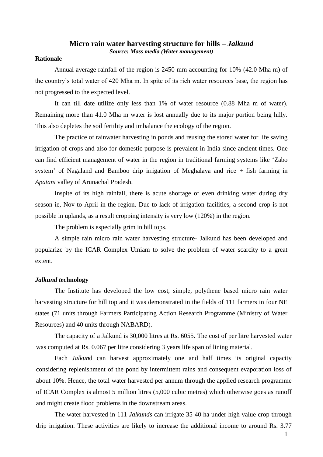# **Micro rain water harvesting structure for hills –** *Jalkund*

*Source: Mass media (Water management)*

## **Rationale**

Annual average rainfall of the region is 2450 mm accounting for 10% (42.0 Mha m) of the country's total water of 420 Mha m. In spite of its rich water resources base, the region has not progressed to the expected level.

It can till date utilize only less than 1% of water resource (0.88 Mha m of water). Remaining more than 41.0 Mha m water is lost annually due to its major portion being hilly. This also depletes the soil fertility and imbalance the ecology of the region.

The practice of rainwater harvesting in ponds and reusing the stored water for life saving irrigation of crops and also for domestic purpose is prevalent in India since ancient times. One can find efficient management of water in the region in traditional farming systems like 'Zabo system' of Nagaland and Bamboo drip irrigation of Meghalaya and rice + fish farming in *Apatani* valley of Arunachal Pradesh.

Inspite of its high rainfall, there is acute shortage of even drinking water during dry season ie, Nov to April in the region. Due to lack of irrigation facilities, a second crop is not possible in uplands, as a result cropping intensity is very low (120%) in the region.

The problem is especially grim in hill tops.

A simple rain micro rain water harvesting structure- Jalkund has been developed and popularize by the ICAR Complex Umiam to solve the problem of water scarcity to a great extent.

### *Jalkund t***echnology**

The Institute has developed the low cost, simple, polythene based micro rain water harvesting structure for hill top and it was demonstrated in the fields of 111 farmers in four NE states (71 units through Farmers Participating Action Research Programme (Ministry of Water Resources) and 40 units through NABARD).

The capacity of a Jalkund is 30,000 litres at Rs. 6055. The cost of per litre harvested water was computed at Rs. 0.067 per litre considering 3 years life span of lining material.

Each *Jalkun*d can harvest approximately one and half times its original capacity considering replenishment of the pond by intermittent rains and consequent evaporation loss of about 10%. Hence, the total water harvested per annum through the applied research programme of ICAR Complex is almost 5 million litres (5,000 cubic metres) which otherwise goes as runoff and might create flood problems in the downstream areas.

The water harvested in 111 *Jalkunds* can irrigate 35-40 ha under high value crop through drip irrigation. These activities are likely to increase the additional income to around Rs. 3.77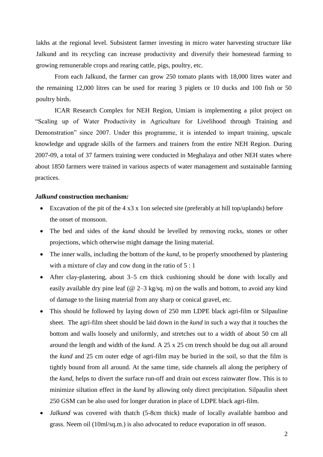lakhs at the regional level. Subsistent farmer investing in micro water harvesting structure like Jalkund and its recycling can increase productivity and diversify their homestead farming to growing remunerable crops and rearing cattle, pigs, poultry, etc.

From each Jalkund, the farmer can grow 250 tomato plants with 18,000 litres water and the remaining 12,000 litres can be used for rearing 3 piglets or 10 ducks and 100 fish or 50 poultry birds.

ICAR Research Complex for NEH Region, Umiam is implementing a pilot project on "Scaling up of Water Productivity in Agriculture for Livelihood through Training and Demonstration" since 2007. Under this programme, it is intended to impart training, upscale knowledge and upgrade skills of the farmers and trainers from the entire NEH Region. During 2007-09, a total of 37 farmers training were conducted in Meghalaya and other NEH states where about 1850 farmers were trained in various aspects of water management and sustainable farming practices.

### *Jalkund* **construction mechanism***:*

- Excavation of the pit of the  $4 \times 3 \times 1$  on selected site (preferably at hill top/uplands) before the onset of monsoon.
- The bed and sides of the *kund* should be levelled by removing rocks, stones or other projections, which otherwise might damage the lining material.
- The inner walls, including the bottom of the *kund*, to be properly smoothened by plastering with a mixture of clay and cow dung in the ratio of  $5:1$
- After clay-plastering, about 3–5 cm thick cushioning should be done with locally and easily available dry pine leaf ( $@ 2-3$  kg/sq. m) on the walls and bottom, to avoid any kind of damage to the lining material from any sharp or conical gravel, etc.
- This should be followed by laying down of 250 mm LDPE black agri-film or Silpauline sheet. The agri-film sheet should be laid down in the *kund* in such a way that it touches the bottom and walls loosely and uniformly, and stretches out to a width of about 50 cm all around the length and width of the *kund*. A 25 x 25 cm trench should be dug out all around the *kund* and 25 cm outer edge of agri-film may be buried in the soil, so that the film is tightly bound from all around. At the same time, side channels all along the periphery of the *kund*, helps to divert the surface run-off and drain out excess rainwater flow. This is to minimize siltation effect in the *kund* by allowing only direct precipitation. Silpaulin sheet 250 GSM can be also used for longer duration in place of LDPE black agri-film.
- *Jalkund* was covered with thatch (5-8cm thick) made of locally available bamboo and grass. Neem oil (10ml/sq.m.) is also advocated to reduce evaporation in off season.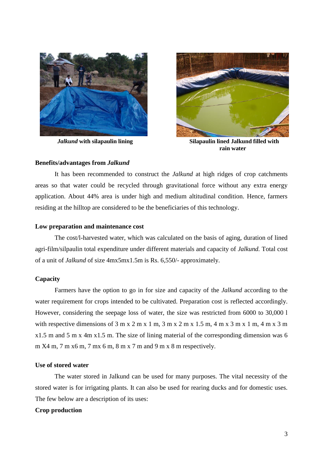

 *Jalkund* **with silapaulin lining**



 **Silapaulin lined Jalkund filled with rain water**

## **Benefits/advantages from** *Jalkund*

It has been recommended to construct the *Jalkund* at high ridges of crop catchments areas so that water could be recycled through gravitational force without any extra energy application. About 44% area is under high and medium altitudinal condition. Hence, farmers residing at the hilltop are considered to be the beneficiaries of this technology.

#### **Low preparation and maintenance cost**

The cost/l-harvested water, which was calculated on the basis of aging, duration of lined agri-film/silpaulin total expenditure under different materials and capacity of *Jalkund.* Total cost of a unit of *Jalkund* of size 4mx5mx1.5m is Rs. 6,550/- approximately.

## **Capacity**

Farmers have the option to go in for size and capacity of the *Jalkund* according to the water requirement for crops intended to be cultivated. Preparation cost is reflected accordingly. However, considering the seepage loss of water, the size was restricted from 6000 to 30,000 l with respective dimensions of  $3 \text{ m} \times 2 \text{ m} \times 1 \text{ m}$ ,  $3 \text{ m} \times 2 \text{ m} \times 1.5 \text{ m}$ ,  $4 \text{ m} \times 3 \text{ m} \times 1 \text{ m}$ ,  $4 \text{ m} \times 3 \text{ m}$ x1.5 m and 5 m x 4m x1.5 m. The size of lining material of the corresponding dimension was 6  $m X4 m$ , 7 m x 6 m, 7 m x 6 m, 8 m x 7 m and 9 m x 8 m respectively.

## **Use of stored water**

The water stored in Jalkund can be used for many purposes. The vital necessity of the stored water is for irrigating plants. It can also be used for rearing ducks and for domestic uses. The few below are a description of its uses:

## **Crop production**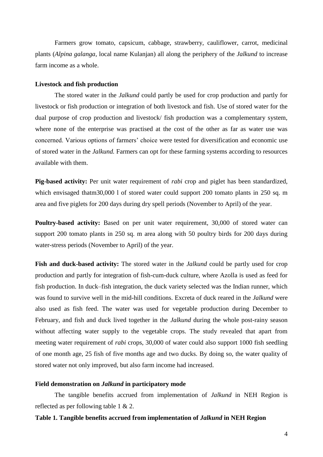Farmers grow tomato, capsicum, cabbage, strawberry, cauliflower, carrot, medicinal plants (*Alpina galanga*, local name Kulanjan) all along the periphery of the *Jalkund* to increase farm income as a whole.

### **Livestock and fish production**

The stored water in the *Jalkund* could partly be used for crop production and partly for livestock or fish production or integration of both livestock and fish. Use of stored water for the dual purpose of crop production and livestock/ fish production was a complementary system, where none of the enterprise was practised at the cost of the other as far as water use was concerned. Various options of farmers' choice were tested for diversification and economic use of stored water in the *Jalkund.* Farmers can opt for these farming systems according to resources available with them.

**Pig-based activity:** Per unit water requirement of *rabi* crop and piglet has been standardized, which envisaged thatm30,000 l of stored water could support 200 tomato plants in 250 sq. m area and five piglets for 200 days during dry spell periods (November to April) of the year.

**Poultry-based activity:** Based on per unit water requirement, 30,000 of stored water can support 200 tomato plants in 250 sq. m area along with 50 poultry birds for 200 days during water-stress periods (November to April) of the year.

**Fish and duck-based activity:** The stored water in the *Jalkund* could be partly used for crop production and partly for integration of fish-cum-duck culture, where Azolla is used as feed for fish production. In duck–fish integration, the duck variety selected was the Indian runner, which was found to survive well in the mid-hill conditions. Excreta of duck reared in the *Jalkund* were also used as fish feed. The water was used for vegetable production during December to February, and fish and duck lived together in the *Jalkund* during the whole post-rainy season without affecting water supply to the vegetable crops. The study revealed that apart from meeting water requirement of *rabi* crops, 30,000 of water could also support 1000 fish seedling of one month age, 25 fish of five months age and two ducks. By doing so, the water quality of stored water not only improved, but also farm income had increased.

### **Field demonstration on** *Jalkund* **in participatory mode**

The tangible benefits accrued from implementation of *Jalkund* in NEH Region is reflected as per following table 1 & 2.

## **Table 1. Tangible benefits accrued from implementation of** *Jalkund* **in NEH Region**